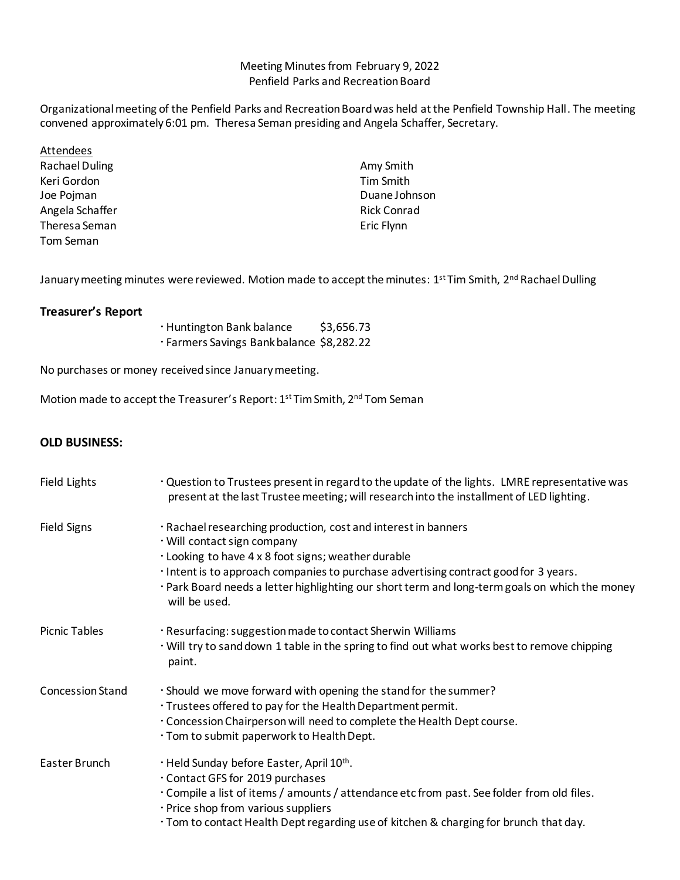## Meeting Minutes from February 9, 2022 Penfield Parks and Recreation Board

Organizational meeting of the Penfield Parks and Recreation Board was held at the Penfield Township Hall. The meeting convened approximately 6:01 pm. Theresa Seman presiding and Angela Schaffer, Secretary.

Attendees Rachael Duling Keri Gordon Joe Pojman Angela Schaffer Theresa Seman Tom Seman

Amy Smith Tim Smith Duane Johnson Rick Conrad Eric Flynn

January meeting minutes were reviewed. Motion made to accept the minutes: 1<sup>st</sup> Tim Smith, 2<sup>nd</sup> Rachael Dulling

## **Treasurer's Report**

Huntington Bank balance \$3,656.73 Farmers Savings Bank balance \$8,282.22

No purchases or money received since January meeting.

Motion made to accept the Treasurer's Report: 1st Tim Smith, 2nd Tom Seman

## **OLD BUSINESS:**

| Field Lights            | . Question to Trustees present in regard to the update of the lights. LMRE representative was<br>present at the last Trustee meeting; will research into the installment of LED lighting.                                                                                                                                                                       |
|-------------------------|-----------------------------------------------------------------------------------------------------------------------------------------------------------------------------------------------------------------------------------------------------------------------------------------------------------------------------------------------------------------|
| <b>Field Signs</b>      | · Rachael researching production, cost and interest in banners<br>· Will contact sign company<br>. Looking to have 4 x 8 foot signs; weather durable<br>· Intent is to approach companies to purchase advertising contract good for 3 years.<br>· Park Board needs a letter highlighting our short term and long-term goals on which the money<br>will be used. |
| <b>Picnic Tables</b>    | · Resurfacing: suggestion made to contact Sherwin Williams<br>. Will try to sand down 1 table in the spring to find out what works best to remove chipping<br>paint.                                                                                                                                                                                            |
| <b>Concession Stand</b> | · Should we move forward with opening the stand for the summer?<br>. Trustees offered to pay for the Health Department permit.<br>. Concession Chairperson will need to complete the Health Dept course.<br>. Tom to submit paperwork to Health Dept.                                                                                                           |
| Easter Brunch           | . Held Sunday before Easter, April 10th.<br>Contact GFS for 2019 purchases<br>· Compile a list of items / amounts / attendance etc from past. See folder from old files.<br>· Price shop from various suppliers<br>· Tom to contact Health Dept regarding use of kitchen & charging for brunch that day.                                                        |